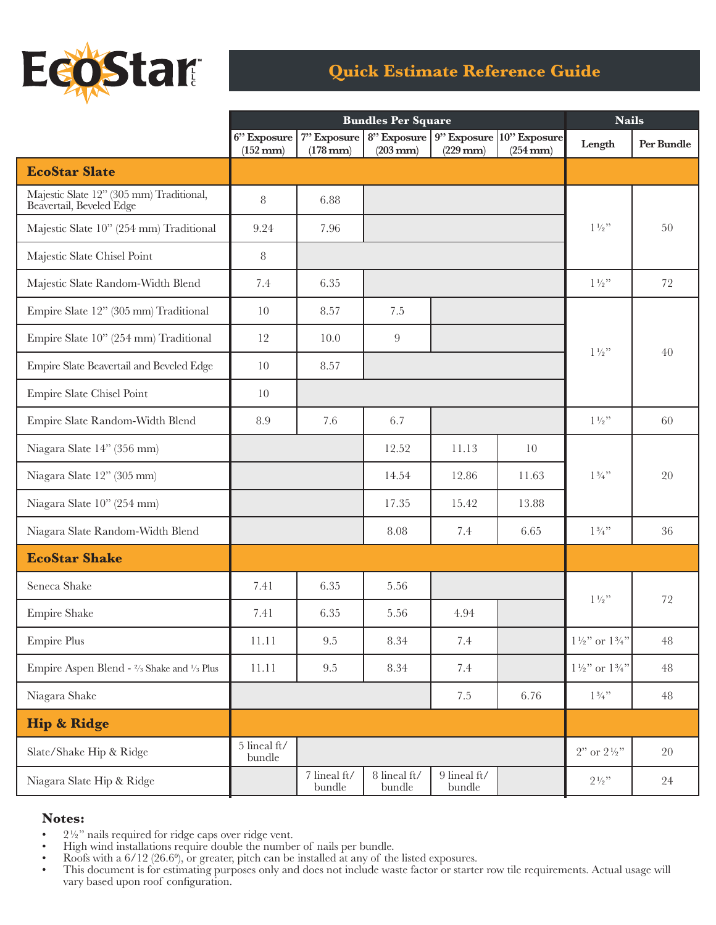

# **Quick Estimate Reference Guide**

|                                                                      | <b>Bundles Per Square</b>         |                        |                                                   |                        |                                                       | <b>Nails</b>                         |            |
|----------------------------------------------------------------------|-----------------------------------|------------------------|---------------------------------------------------|------------------------|-------------------------------------------------------|--------------------------------------|------------|
|                                                                      | 6" Exposure<br>$(152 \text{ mm})$ | $(178 \text{ mm})$     | $7"$ Exposure $8"$ Exposure<br>$(203 \text{ mm})$ | $(229$ mm $)$          | $9$ " Exposure $ 10$ " Exposure<br>$(254 \text{ mm})$ | Length                               | Per Bundle |
| <b>EcoStar Slate</b>                                                 |                                   |                        |                                                   |                        |                                                       |                                      |            |
| Majestic Slate 12" (305 mm) Traditional,<br>Beavertail, Beveled Edge | 8                                 | 6.88                   |                                                   |                        |                                                       |                                      |            |
| Majestic Slate 10" (254 mm) Traditional                              | 9.24                              | 7.96                   |                                                   |                        |                                                       | $1\frac{1}{2}$ "                     | 50         |
| Majestic Slate Chisel Point                                          | 8                                 |                        |                                                   |                        |                                                       |                                      |            |
| Majestic Slate Random-Width Blend                                    | 7.4                               | 6.35                   |                                                   |                        |                                                       | $1\frac{1}{2}$ "                     | 72         |
| Empire Slate 12" (305 mm) Traditional                                | 10                                | 8.57                   | 7.5                                               |                        |                                                       |                                      |            |
| Empire Slate 10" (254 mm) Traditional                                | 12                                | 10.0                   | 9                                                 |                        |                                                       |                                      |            |
| Empire Slate Beavertail and Beveled Edge                             | 10                                | 8.57                   |                                                   |                        |                                                       | $1\frac{1}{2}$ "                     | 40         |
| Empire Slate Chisel Point                                            | 10                                |                        |                                                   |                        |                                                       |                                      |            |
| Empire Slate Random-Width Blend                                      | 8.9                               | 7.6                    | 6.7                                               |                        |                                                       | $1\frac{1}{2}$ "                     | 60         |
| Niagara Slate 14" (356 mm)                                           |                                   |                        | 12.52                                             | 11.13                  | 10                                                    |                                      |            |
| Niagara Slate 12" (305 mm)                                           |                                   |                        | 14.54                                             | 12.86                  | 11.63                                                 | $1\frac{3}{4}$ "                     | 20         |
| Niagara Slate 10" (254 mm)                                           |                                   |                        | 17.35                                             | 15.42                  | 13.88                                                 |                                      |            |
| Niagara Slate Random-Width Blend                                     |                                   |                        | 8.08                                              | 7.4                    | 6.65                                                  | $1\,\%$ ''                           | 36         |
| <b>EcoStar Shake</b>                                                 |                                   |                        |                                                   |                        |                                                       |                                      |            |
| Seneca Shake                                                         | 7.41                              | 6.35                   | 5.56                                              |                        |                                                       |                                      |            |
| <b>Empire Shake</b>                                                  | 7.41                              | 6.35                   | 5.56                                              | 4.94                   |                                                       | $1\frac{1}{2}$ "                     | 72         |
| <b>Empire Plus</b>                                                   | 11.11                             | 9.5                    | 8.34                                              | 7.4                    |                                                       | $1\, \%$ or $1\, \%$ .               | 48         |
| Empire Aspen Blend - 2/3 Shake and 1/3 Plus                          | 11.11                             | $9.5\,$                | 8.34                                              | 7.4                    |                                                       | $1\frac{1}{2}$ " or $1\frac{3}{4}$ " | 48         |
| Niagara Shake                                                        |                                   |                        |                                                   | 7.5                    | 6.76                                                  | $1\, \%$ ''                          | $\rm 48$   |
| <b>Hip &amp; Ridge</b>                                               |                                   |                        |                                                   |                        |                                                       |                                      |            |
| Slate/Shake Hip & Ridge                                              | 5 lineal ft/<br>bundle            |                        |                                                   |                        |                                                       | $2"$ or $2\frac{1}{2}"$              | $20\,$     |
| Niagara Slate Hip & Ridge                                            |                                   | 7 lineal ft/<br>bundle | 8 lineal ft/<br>bundle                            | 9 lineal ft/<br>bundle |                                                       | $2\frac{1}{2}$ "                     | 24         |

### **Notes:**

- 
- 2<sup>1</sup>/<sub>2</sub>" nails required for ridge caps over ridge vent.<br>• High wind installations require double the number of nails per bundle.<br>• Roofs with a 6/12 (26.6°), or greater, pitch can be installed at any of the<br>• This docu
- 
- This document is for estimating purposes only and does not include waste factor or starter row tile requirements. Actual usage will vary based upon roof configuration.